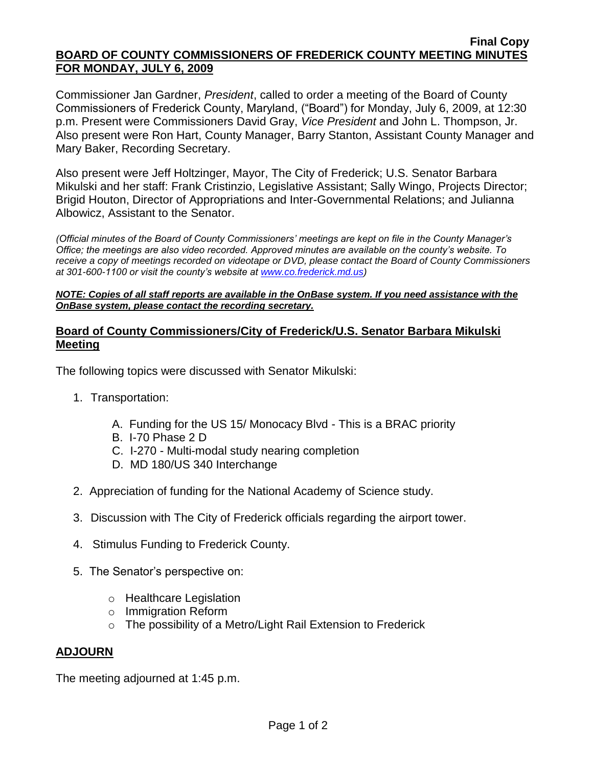#### **Final Copy BOARD OF COUNTY COMMISSIONERS OF FREDERICK COUNTY MEETING MINUTES FOR MONDAY, JULY 6, 2009**

Commissioner Jan Gardner, *President*, called to order a meeting of the Board of County Commissioners of Frederick County, Maryland, ("Board") for Monday, July 6, 2009, at 12:30 p.m. Present were Commissioners David Gray, *Vice President* and John L. Thompson, Jr. Also present were Ron Hart, County Manager, Barry Stanton, Assistant County Manager and Mary Baker, Recording Secretary.

Also present were Jeff Holtzinger, Mayor, The City of Frederick; U.S. Senator Barbara Mikulski and her staff: Frank Cristinzio, Legislative Assistant; Sally Wingo, Projects Director; Brigid Houton, Director of Appropriations and Inter-Governmental Relations; and Julianna Albowicz, Assistant to the Senator.

*(Official minutes of the Board of County Commissioners' meetings are kept on file in the County Manager's Office; the meetings are also video recorded. Approved minutes are available on the county's website. To receive a copy of meetings recorded on videotape or DVD, please contact the Board of County Commissioners at 301-600-1100 or visit the county's website at [www.co.frederick.md.us\)](http://www.co.frederick.md.us/)*

#### *NOTE: Copies of all staff reports are available in the OnBase system. If you need assistance with the OnBase system, please contact the recording secretary.*

# **Board of County Commissioners/City of Frederick/U.S. Senator Barbara Mikulski Meeting**

The following topics were discussed with Senator Mikulski:

- 1. Transportation:
	- A. Funding for the US 15/ Monocacy Blvd This is a BRAC priority
	- B. I-70 Phase 2 D
	- C. I-270 Multi-modal study nearing completion
	- D. MD 180/US 340 Interchange
- 2. Appreciation of funding for the National Academy of Science study.
- 3. Discussion with The City of Frederick officials regarding the airport tower.
- 4. Stimulus Funding to Frederick County.
- 5. The Senator's perspective on:
	- o Healthcare Legislation
	- o Immigration Reform
	- o The possibility of a Metro/Light Rail Extension to Frederick

# **ADJOURN**

The meeting adjourned at 1:45 p.m.